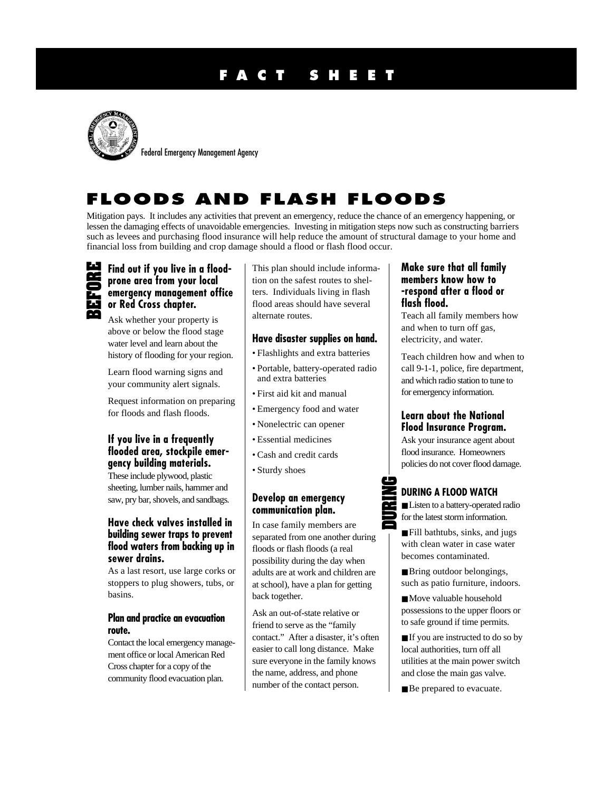# **FACT SHEET**



Federal Emergency Management Agency

# **FLOODS AND FLASH FLOODS**

Mitigation pays. It includes any activities that prevent an emergency, reduce the chance of an emergency happening, or lessen the damaging effects of unavoidable emergencies. Investing in mitigation steps now such as constructing barriers such as levees and purchasing flood insurance will help reduce the amount of structural damage to your home and financial loss from building and crop damage should a flood or flash flood occur.

#### Find out if you live in a flood**prone area from your local emergency management office or Red Cross chapter.**

Ask whether your property is above or below the flood stage water level and learn about the history of flooding for your region.

Learn flood warning signs and your community alert signals.

Request information on preparing for floods and flash floods.

#### **If you live in a frequently flooded area, stockpile emergency building materials.**

These include plywood, plastic sheeting, lumber nails, hammer and saw, pry bar, shovels, and sandbags.

#### **Have check valves installed in building sewer traps to prevent flood waters from backing up in sewer drains.**

As a last resort, use large corks or stoppers to plug showers, tubs, or basins.

#### **Plan and practice an evacuation route.**

Contact the local emergency management office or local American Red Cross chapter for a copy of the community flood evacuation plan.

This plan should include information on the safest routes to shelters. Individuals living in flash flood areas should have several alternate routes.

#### **Have disaster supplies on hand.**

- Flashlights and extra batteries
- Portable, battery-operated radio and extra batteries
- First aid kit and manual
- Emergency food and water
- Nonelectric can opener
- Essential medicines
- Cash and credit cards
- Sturdy shoes

#### **Develop an emergency communication plan.**

In case family members are separated from one another during floods or flash floods (a real possibility during the day when adults are at work and children are at school), have a plan for getting back together.

Ask an out-of-state relative or friend to serve as the "family contact." After a disaster, it's often easier to call long distance. Make sure everyone in the family knows the name, address, and phone number of the contact person.

#### **Make sure that all family members know how to -respond after a flood or flash flood.**

Teach all family members how and when to turn off gas, electricity, and water.

Teach children how and when to call 9-1-1, police, fire department, and which radio station to tune to for emergency information.

#### **Learn about the National Flood Insurance Program.**

Ask your insurance agent about flood insurance. Homeowners policies do not cover flood damage.

# **DURING A FLOOD WATCH DURING**

■ Listen to a battery-operated radio for the latest storm information.

■ Fill bathtubs, sinks, and jugs with clean water in case water becomes contaminated.

■ Bring outdoor belongings, such as patio furniture, indoors.

■ Move valuable household possessions to the upper floors or to safe ground if time permits.

■ If you are instructed to do so by local authorities, turn off all utilities at the main power switch and close the main gas valve.

■ Be prepared to evacuate.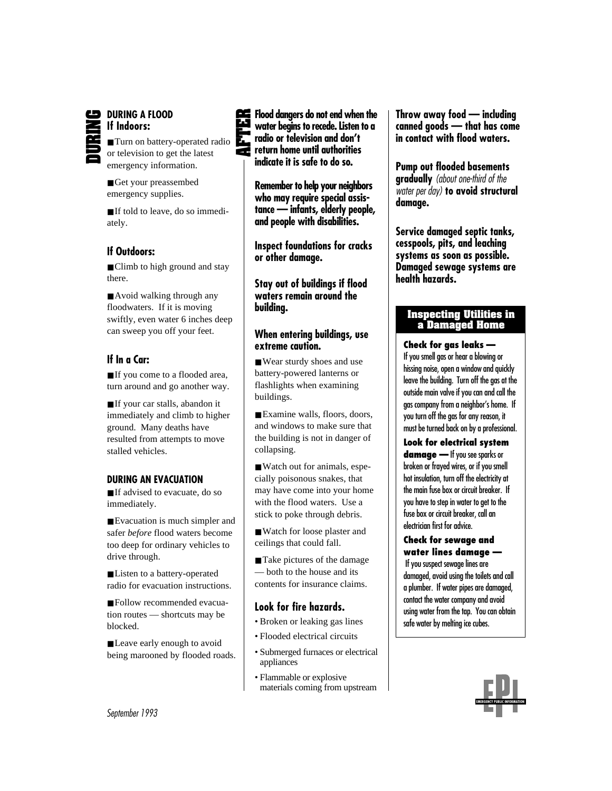# **DURING**

# **DURING A FLOOD If Indoors:**

■ Turn on battery-operated radio or television to get the latest emergency information.

■ Get your preassembed emergency supplies.

■ If told to leave, do so immediately.

#### **If Outdoors:**

■ Climb to high ground and stay there.

■ Avoid walking through any floodwaters. If it is moving swiftly, even water 6 inches deep can sweep you off your feet.

#### **If In a Car:**

■ If you come to a flooded area, turn around and go another way.

■ If your car stalls, abandon it immediately and climb to higher ground. Many deaths have resulted from attempts to move stalled vehicles.

#### **DURING AN EVACUATION**

■ If advised to evacuate, do so immediately.

■ Evacuation is much simpler and safer *before* flood waters become too deep for ordinary vehicles to drive through.

■ Listen to a battery-operated radio for evacuation instructions.

■ Follow recommended evacuation routes — shortcuts may be blocked.

■ Leave early enough to avoid being marooned by flooded roads.

**Flood dangers do not end when the water begins to recede. Listen to a radio or television and don't return home until authorities indicate it is safe to do so. AFTER**

> **Remember to help your neighbors who may require special assistance — infants, elderly people, and people with disabilities.**

**Inspect foundations for cracks or other damage.**

**Stay out of buildings if flood waters remain around the building.**

#### **When entering buildings, use extreme caution.**

■ Wear sturdy shoes and use battery-powered lanterns or flashlights when examining buildings.

■ Examine walls, floors, doors, and windows to make sure that the building is not in danger of collapsing.

■ Watch out for animals, especially poisonous snakes, that may have come into your home with the flood waters. Use a stick to poke through debris.

■ Watch for loose plaster and ceilings that could fall.

■ Take pictures of the damage — both to the house and its contents for insurance claims.

#### **Look for fire hazards.**

- Broken or leaking gas lines
- Flooded electrical circuits
- Submerged furnaces or electrical appliances
- Flammable or explosive materials coming from upstream

**Throw away food — including canned goods — that has come in contact with flood waters.**

**Pump out flooded basements gradually** (about one-third of the water per day) **to avoid structural damage.**

**Service damaged septic tanks, cesspools, pits, and leaching systems as soon as possible. Damaged sewage systems are health hazards.**

#### **Inspecting Utilities in a Damaged Home**

#### **Check for gas leaks —**

If you smell gas or hear a blowing or hissing noise, open a window and quickly leave the building. Turn off the gas at the outside main valve if you can and call the gas company from a neighbor's home. If you turn off the gas for any reason, it must be turned back on by a professional.

**Look for electrical system damage —** If you see sparks or broken or frayed wires, or if you smell hot insulation, turn off the electricity at the main fuse box or circuit breaker. If you have to step in water to get to the fuse box or circuit breaker, call an electrician first for advice.

#### **Check for sewage and water lines damage —**

 If you suspect sewage lines are damaged, avoid using the toilets and call a plumber. If water pipes are damaged, contact the water company and avoid using water from the tap. You can obtain safe water by melting ice cubes.

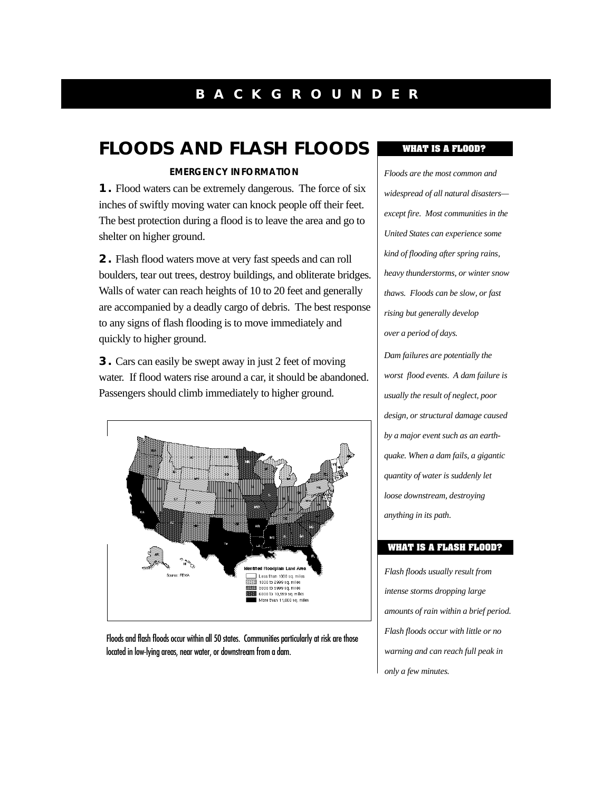### **B A C K G R O U N D E R**

# **FLOODS AND FLASH FLOODS**

#### **EMERGENCY INFORMATION**

**1.** Flood waters can be extremely dangerous. The force of six inches of swiftly moving water can knock people off their feet. The best protection during a flood is to leave the area and go to shelter on higher ground.

**2.** Flash flood waters move at very fast speeds and can roll boulders, tear out trees, destroy buildings, and obliterate bridges. Walls of water can reach heights of 10 to 20 feet and generally are accompanied by a deadly cargo of debris. The best response to any signs of flash flooding is to move immediately and quickly to higher ground.

**3.** Cars can easily be swept away in just 2 feet of moving water. If flood waters rise around a car, it should be abandoned. Passengers should climb immediately to higher ground.



Floods and flash floods occur within all 50 states. Communities particularly at risk are those located in low-lying areas, near water, or downstream from a dam.

#### **WHAT IS A FLOOD?**

*Floods are the most common and widespread of all natural disasters except fire. Most communities in the United States can experience some kind of flooding after spring rains, heavy thunderstorms, or winter snow thaws. Floods can be slow, or fast rising but generally develop over a period of days. Dam failures are potentially the worst flood events. A dam failure is usually the result of neglect, poor design, or structural damage caused by a major event such as an earthquake. When a dam fails, a gigantic quantity of water is suddenly let loose downstream, destroying anything in its path.*

#### **WHAT IS A FLASH FLOOD?**

*Flash floods usually result from intense storms dropping large amounts of rain within a brief period. Flash floods occur with little or no warning and can reach full peak in only a few minutes.*